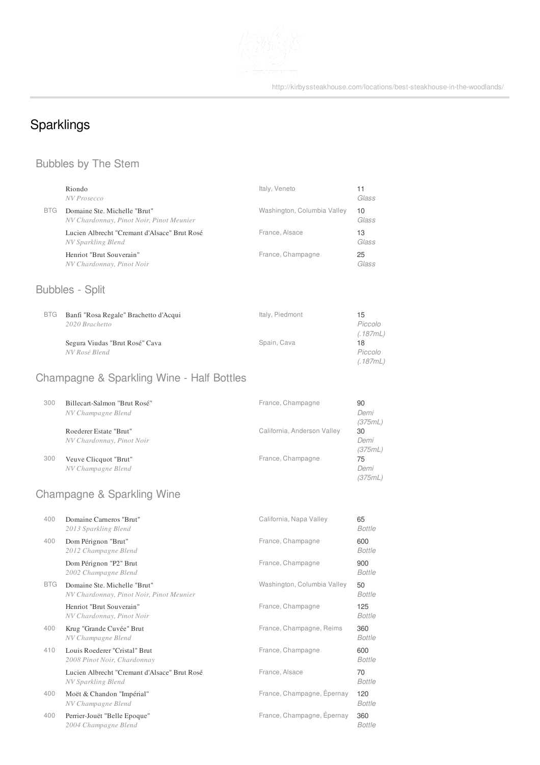

http://kirbyssteakhouse.com/locations/best-steakhouse-in-the-woodlands/

# Sparklings

# Bubbles by The Stem

|            | Riondo<br>NV Prosecco                                                    | Italy, Veneto               | 11<br>Glass               |
|------------|--------------------------------------------------------------------------|-----------------------------|---------------------------|
| <b>BTG</b> | Domaine Ste. Michelle "Brut"<br>NV Chardonnay, Pinot Noir, Pinot Meunier | Washington, Columbia Valley | 10<br>Glass               |
|            | Lucien Albrecht "Cremant d'Alsace" Brut Rosé<br>NV Sparkling Blend       | France, Alsace              | 13<br>Glass               |
|            | Henriot "Brut Souverain"<br>NV Chardonnay, Pinot Noir                    | France, Champagne           | 25<br>Glass               |
|            | <b>Bubbles - Split</b>                                                   |                             |                           |
| <b>BTG</b> | Banfi "Rosa Regale" Brachetto d'Acqui<br>2020 Brachetto                  | Italy, Piedmont             | 15<br>Piccolo<br>(.187mL) |
|            | Segura Viudas "Brut Rosé" Cava<br>NV Rosé Blend                          | Spain, Cava                 | 18<br>Piccolo<br>(.187mL) |
|            | <b>Champagne &amp; Sparkling Wine - Half Bottles</b>                     |                             |                           |
| 300        | Billecart-Salmon "Brut Rosé"<br>NV Champagne Blend                       | France, Champagne           | 90<br>Demi<br>(375mL)     |
|            | Roederer Estate "Brut"<br>NV Chardonnay, Pinot Noir                      | California, Anderson Valley | 30<br>Demi<br>(375mL)     |
| 300        | Veuve Clicquot "Brut"<br>NV Champagne Blend                              | France, Champagne           | 75<br>Demi<br>(375mL)     |

# Champagne & Sparkling Wine

| 400        | Domaine Carneros "Brut"<br>2013 Sparkling Blend                          | California, Napa Valley     | 65<br><b>Bottle</b>  |
|------------|--------------------------------------------------------------------------|-----------------------------|----------------------|
| 400        | Dom Pérignon "Brut"<br>2012 Champagne Blend                              | France, Champagne           | 600<br><b>Bottle</b> |
|            | Dom Pérignon "P2" Brut<br>2002 Champagne Blend                           | France, Champagne           | 900<br>Bottle        |
| <b>BTG</b> | Domaine Ste. Michelle "Brut"<br>NV Chardonnay, Pinot Noir, Pinot Meunier | Washington, Columbia Valley | 50<br><b>Bottle</b>  |
|            | Henriot "Brut Souverain"<br>NV Chardonnay, Pinot Noir                    | France, Champagne           | 125<br><b>Bottle</b> |
| 400        | Krug "Grande Cuvée" Brut<br>NV Champagne Blend                           | France, Champagne, Reims    | 360<br><b>Bottle</b> |
| 410        | Louis Roederer "Cristal" Brut<br>2008 Pinot Noir, Chardonnay             | France, Champagne           | 600<br><b>Bottle</b> |
|            | Lucien Albrecht "Cremant d'Alsace" Brut Rosé<br>NV Sparkling Blend       | France, Alsace              | 70<br><b>Bottle</b>  |
| 400        | Moët & Chandon "Impérial"<br>NV Champagne Blend                          | France, Champagne, Epernay  | 120<br><b>Bottle</b> |
| 400        | Perrier-Jouët "Belle Epoque"<br>2004 Champagne Blend                     | France, Champagne, Épernay  | 360<br><b>Bottle</b> |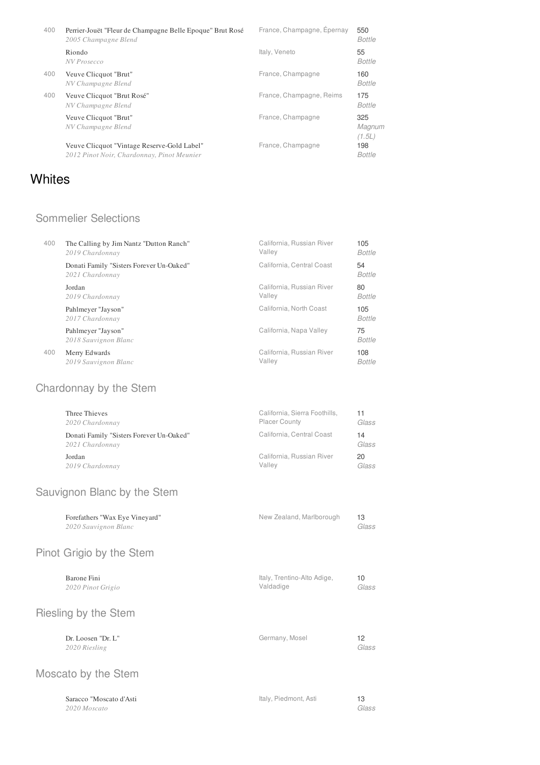| 400 | Perrier-Jouët "Fleur de Champagne Belle Epoque" Brut Rosé<br>2005 Champagne Blend         | France, Champagne, Epernay | 550<br><b>Bottle</b>    |
|-----|-------------------------------------------------------------------------------------------|----------------------------|-------------------------|
|     | Riondo<br>NV Prosecco                                                                     | Italy, Veneto              | 55<br>Bottle            |
| 400 | Veuve Clicquot "Brut"<br>NV Champagne Blend                                               | France, Champagne          | 160<br>Bottle           |
| 400 | Veuve Clicquot "Brut Rosé"<br>NV Champagne Blend                                          | France, Champagne, Reims   | 175<br>Bottle           |
|     | Veuve Clicquot "Brut"<br>NV Champagne Blend                                               | France, Champagne          | 325<br>Magnum<br>(1.5L) |
|     | Veuve Clicquot "Vintage Reserve-Gold Label"<br>2012 Pinot Noir, Chardonnay, Pinot Meunier | France, Champagne          | 198<br><b>Bottle</b>    |

# **Whites**

### Sommelier Selections

| 400 | The Calling by Jim Nantz "Dutton Ranch"                     | California, Russian River | 105           |
|-----|-------------------------------------------------------------|---------------------------|---------------|
|     | 2019 Chardonnay                                             | Valley                    | Bottle        |
|     | Donati Family "Sisters Forever Un-Oaked"<br>2021 Chardonnay | California, Central Coast | 54<br>Bottle  |
|     | Jordan                                                      | California, Russian River | 80            |
|     | 2019 Chardonnay                                             | Valley                    | Bottle        |
|     | Pahlmeyer "Jayson"<br>2017 Chardonnay                       | California, North Coast   | 105<br>Bottle |
|     | Pahlmeyer "Jayson"<br>2018 Sauvignon Blanc                  | California, Napa Valley   | 75<br>Bottle  |
| 400 | Merry Edwards                                               | California, Russian River | 108           |
|     | 2019 Sauvignon Blanc                                        | Valley                    | <b>Bottle</b> |

# Chardonnay by the Stem

| Three Thieves                                               | California, Sierra Foothills, | 11          |
|-------------------------------------------------------------|-------------------------------|-------------|
| 2020 Chardonnay                                             | <b>Placer County</b>          | Glass       |
| Donati Family "Sisters Forever Un-Oaked"<br>2021 Chardonnay | California, Central Coast     | 14<br>Glass |
| Jordan                                                      | California, Russian River     | 20          |
| 2019 Chardonnay                                             | Valley                        | Glass       |

### Sauvignon Blanc by the Stem

| Glass                    |
|--------------------------|
| New Zealand, Marlborough |

# Pinot Grigio by the Stem

| Barone Fini<br>2020 Pinot Grigio    | Italy, Trentino-Alto Adige,<br>Valdadige | 10<br>Glass |
|-------------------------------------|------------------------------------------|-------------|
| Riesling by the Stem                |                                          |             |
| Dr. Loosen "Dr. L"<br>2020 Riesling | Germany, Mosel                           | 12<br>Glass |

# Moscato by the Stem

| Saracco "Moscato d'Asti | Italy, Piedmont, Asti |       |
|-------------------------|-----------------------|-------|
| 2020 Moscato            |                       | Glass |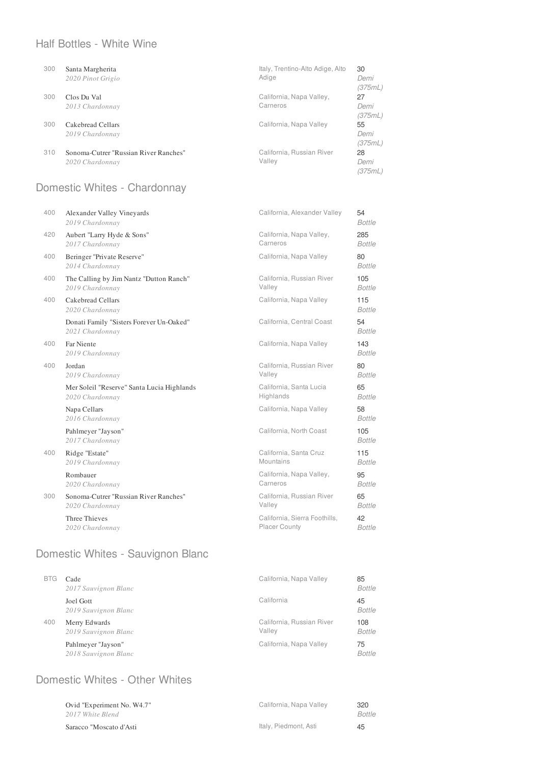### Half Bottles - White Wine

| 300 | Santa Margherita<br>2020 Pinot Grigio                    | Italy, Trentino-Alto Adige, Alto<br>Adige | 30<br>Demi<br>(375mL) |
|-----|----------------------------------------------------------|-------------------------------------------|-----------------------|
| 300 | Clos Du Val<br>2013 Chardonnay                           | California, Napa Valley,<br>Carneros      | 27<br>Demi<br>(375mL) |
| 300 | Cakebread Cellars<br>2019 Chardonnay                     | California, Napa Valley                   | 55<br>Demi<br>(375mL) |
| 310 | Sonoma-Cutrer "Russian River Ranches"<br>2020 Chardonnay | California, Russian River<br>Valley       | 28<br>Demi<br>(375mL) |

# Domestic Whites - Chardonnay

| 400 | Alexander Valley Vineyards<br>2019 Chardonnay               | California, Alexander Valley  | 54<br><b>Bottle</b>  |
|-----|-------------------------------------------------------------|-------------------------------|----------------------|
| 420 | Aubert "Larry Hyde & Sons"                                  | California, Napa Valley,      | 285                  |
|     | 2017 Chardonnay                                             | Carneros                      | <b>Bottle</b>        |
| 400 | Beringer "Private Reserve"<br>2014 Chardonnay               | California, Napa Valley       | 80<br><b>Bottle</b>  |
| 400 | The Calling by Jim Nantz "Dutton Ranch"                     | California, Russian River     | 105                  |
|     | 2019 Chardonnay                                             | Valley                        | <b>Bottle</b>        |
| 400 | Cakebread Cellars<br>2020 Chardonnay                        | California, Napa Valley       | 115<br><b>Bottle</b> |
|     | Donati Family "Sisters Forever Un-Oaked"<br>2021 Chardonnay | California, Central Coast     | 54<br><b>Bottle</b>  |
| 400 | Far Niente<br>2019 Chardonnay                               | California, Napa Valley       | 143<br><b>Bottle</b> |
| 400 | Jordan                                                      | California, Russian River     | 80                   |
|     | 2019 Chardonnay                                             | Valley                        | <b>Bottle</b>        |
|     | Mer Soleil "Reserve" Santa Lucia Highlands                  | California, Santa Lucia       | 65                   |
|     | 2020 Chardonnay                                             | Highlands                     | <b>Bottle</b>        |
|     | Napa Cellars<br>2016 Chardonnay                             | California, Napa Valley       | 58<br><b>Bottle</b>  |
|     | Pahlmeyer "Jayson"<br>2017 Chardonnay                       | California, North Coast       | 105<br><b>Bottle</b> |
| 400 | Ridge "Estate"                                              | California, Santa Cruz        | 115                  |
|     | 2019 Chardonnay                                             | Mountains                     | <b>Bottle</b>        |
|     | Rombauer                                                    | California, Napa Valley,      | 95                   |
|     | 2020 Chardonnay                                             | Carneros                      | <b>Bottle</b>        |
| 300 | Sonoma-Cutrer "Russian River Ranches"                       | California, Russian River     | 65                   |
|     | 2020 Chardonnay                                             | Valley                        | <b>Bottle</b>        |
|     | <b>Three Thieves</b>                                        | California, Sierra Foothills, | 42                   |
|     | 2020 Chardonnay                                             | <b>Placer County</b>          | <b>Bottle</b>        |

### Domestic Whites - Sauvignon Blanc

| <b>BTG</b> | Cade<br>2017 Sauvignon Blanc               | California, Napa Valley             | 85<br><b>Bottle</b>  |
|------------|--------------------------------------------|-------------------------------------|----------------------|
|            | <b>Joel Gott</b><br>2019 Sauvignon Blanc   | California                          | 45<br><b>Bottle</b>  |
| 400        | Merry Edwards<br>2019 Sauvignon Blanc      | California, Russian River<br>Valley | 108<br><b>Bottle</b> |
|            | Pahlmeyer "Jayson"<br>2018 Sauvignon Blanc | California, Napa Valley             | 75<br><b>Bottle</b>  |

# Domestic Whites - Other Whites

| Ovid "Experiment No. W4.7"<br>2017 White Blend | California, Napa Vallev | 320<br>Bottle |
|------------------------------------------------|-------------------------|---------------|
|                                                |                         |               |
| Saracco "Moscato d'Asti                        | Italy, Piedmont, Asti   | 45            |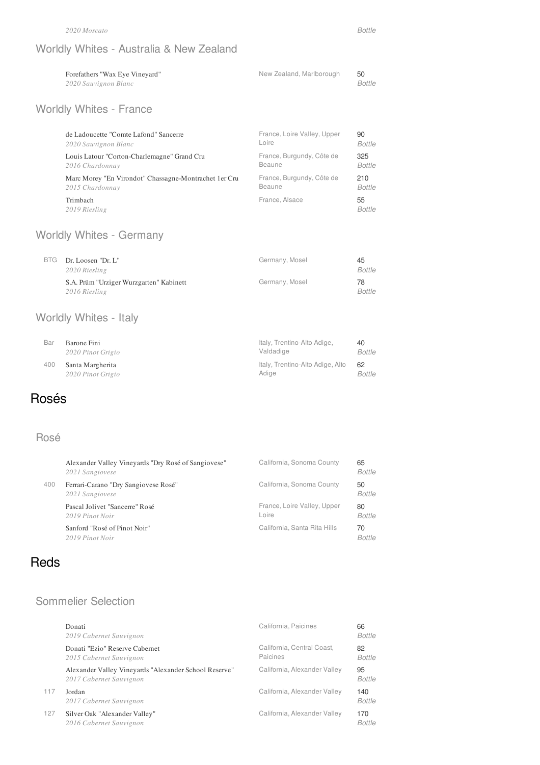### Worldly Whites - Australia & New Zealand

| Forefathers "Wax Eye Vineyard" | New Zealand, Marlborough |        |
|--------------------------------|--------------------------|--------|
| 2020 Sauvignon Blanc           |                          | Bottle |

# Worldly Whites - France

| de Ladoucette "Comte Lafond" Sancerre                  | France, Loire Valley, Upper | 90                  |
|--------------------------------------------------------|-----------------------------|---------------------|
| 2020 Sauvignon Blanc                                   | Loire                       | <b>Bottle</b>       |
| Louis Latour "Corton-Charlemagne" Grand Cru            | France, Burgundy, Côte de   | 325                 |
| 2016 Chardonnay                                        | Beaune                      | <b>Bottle</b>       |
| Marc Morey "En Virondot" Chassagne-Montrachet 1 er Cru | France, Burgundy, Côte de   | 210                 |
| 2015 Chardonnay                                        | Beaune                      | <b>Bottle</b>       |
| Trimbach<br>2019 Riesling                              | France, Alsace              | 55<br><b>Bottle</b> |

### Worldly Whites - Germany

| BTG Dr. Loosen "Dr. L"<br>2020 Riesling                  | Germany, Mosel | 45<br>Bottle        |
|----------------------------------------------------------|----------------|---------------------|
| S.A. Prüm "Urziger Wurzgarten" Kabinett<br>2016 Riesling | Germany, Mosel | 78<br><b>Bottle</b> |

# Worldly Whites - Italy

| Bar | Barone Fini       | Italy, Trentino-Alto Adige,      | 40     |
|-----|-------------------|----------------------------------|--------|
|     | 2020 Pinot Grigio | Valdadige                        | Bottle |
| 400 | Santa Margherita  | Italy, Trentino-Alto Adige, Alto | 62     |
|     | 2020 Pinot Grigio | Adiae                            | Bottle |

# Rosés

#### Rosé

|     | Alexander Valley Vineyards "Dry Rosé of Sangiovese"<br>2021 Sangiovese | California, Sonoma County            | 65<br><b>Bottle</b> |
|-----|------------------------------------------------------------------------|--------------------------------------|---------------------|
| 400 | Ferrari-Carano "Dry Sangiovese Rosé"<br>2021 Sangiovese                | California, Sonoma County            | 50<br><b>Bottle</b> |
|     | Pascal Jolivet "Sancerre" Rosé<br>2019 Pinot Noir                      | France, Loire Valley, Upper<br>Loire | 80<br><b>Bottle</b> |
|     | Sanford "Rosé of Pinot Noir"<br>2019 Pinot Noir                        | California, Santa Rita Hills         | 70<br><b>Bottle</b> |

### **Reds**

### Sommelier Selection

|     | Donati<br>2019 Cabernet Sauvignon                                                | California, Paicines                   | 66<br>Bottle         |
|-----|----------------------------------------------------------------------------------|----------------------------------------|----------------------|
|     | Donati "Ezio" Reserve Cabernet<br>2015 Cabernet Sauvignon                        | California, Central Coast,<br>Paicines | 82<br>Bottle         |
|     | Alexander Valley Vineyards "Alexander School Reserve"<br>2017 Cabernet Sauvignon | California, Alexander Valley           | 95<br>Bottle         |
| 117 | Jordan<br>2017 Cabernet Sauvignon                                                | California, Alexander Valley           | 140<br><b>Bottle</b> |
| 127 | Silver Oak "Alexander Valley"<br>2016 Cabernet Sauvignon                         | California, Alexander Valley           | 170<br>Bottle        |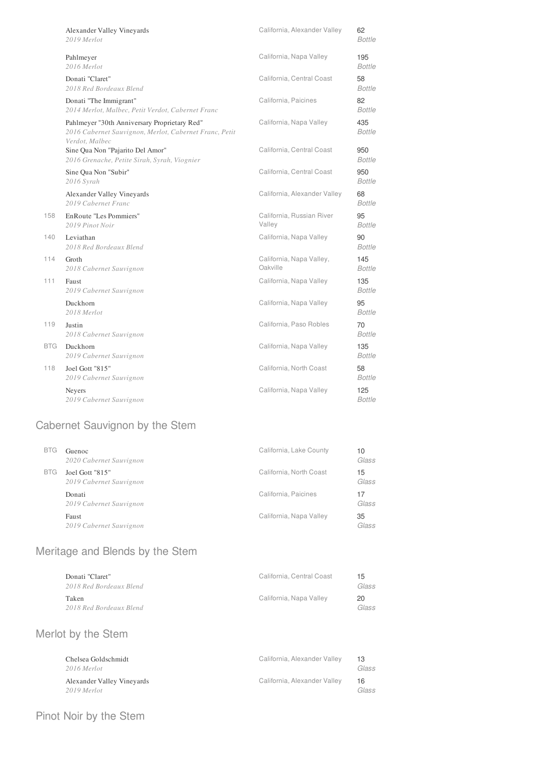|            | Alexander Valley Vineyards<br>2019 Merlot                                                                                | California, Alexander Valley         | 62<br><b>Bottle</b>  |
|------------|--------------------------------------------------------------------------------------------------------------------------|--------------------------------------|----------------------|
|            | Pahlmeyer<br>2016 Merlot                                                                                                 | California, Napa Valley              | 195<br><b>Bottle</b> |
|            | Donati "Claret"<br>2018 Red Bordeaux Blend                                                                               | California, Central Coast            | 58<br>Bottle         |
|            | Donati "The Immigrant"<br>2014 Merlot, Malbec, Petit Verdot, Cabernet Franc                                              | California, Paicines                 | 82<br><b>Bottle</b>  |
|            | Pahlmeyer "30th Anniversary Proprietary Red"<br>2016 Cabernet Sauvignon, Merlot, Cabernet Franc, Petit<br>Verdot, Malbec | California, Napa Valley              | 435<br><b>Bottle</b> |
|            | Sine Qua Non "Pajarito Del Amor"<br>2016 Grenache, Petite Sirah, Syrah, Viognier                                         | California, Central Coast            | 950<br>Bottle        |
|            | Sine Qua Non "Subir"<br>2016 Syrah                                                                                       | California, Central Coast            | 950<br>Bottle        |
|            | Alexander Valley Vineyards<br>2019 Cabernet Franc                                                                        | California, Alexander Valley         | 68<br><b>Bottle</b>  |
| 158        | EnRoute "Les Pommiers"<br>2019 Pinot Noir                                                                                | California, Russian River<br>Valley  | 95<br><b>Bottle</b>  |
| 140        | Leviathan<br>2018 Red Bordeaux Blend                                                                                     | California, Napa Valley              | 90<br>Bottle         |
| 114        | Groth<br>2018 Cabernet Sauvignon                                                                                         | California, Napa Valley,<br>Oakville | 145<br>Bottle        |
| 111        | Faust<br>2019 Cabernet Sauvignon                                                                                         | California, Napa Valley              | 135<br>Bottle        |
|            | Duckhorn<br>2018 Merlot                                                                                                  | California, Napa Valley              | 95<br>Bottle         |
| 119        | Justin<br>2018 Cabernet Sauvignon                                                                                        | California, Paso Robles              | 70<br>Bottle         |
| <b>BTG</b> | Duckhorn<br>2019 Cabernet Sauvignon                                                                                      | California, Napa Valley              | 135<br><b>Bottle</b> |
| 118        | Joel Gott "815"<br>2019 Cabernet Sauvignon                                                                               | California, North Coast              | 58<br>Bottle         |
|            | Neyers<br>2019 Cabernet Sauvignon                                                                                        | California, Napa Valley              | 125<br>Bottle        |

# Cabernet Sauvignon by the Stem

| <b>BTG</b> | Guenoc<br>2020 Cabernet Sauvignon          | California, Lake County | 10<br>Glass |
|------------|--------------------------------------------|-------------------------|-------------|
| BTG.       | Joel Gott "815"<br>2019 Cabernet Sauvignon | California, North Coast | 15<br>Glass |
|            | Donati<br>2019 Cabernet Sauvignon          | California, Paicines    | 17<br>Glass |
|            | Faust<br>2019 Cabernet Sauvignon           | California, Napa Valley | 35<br>Glass |

#### Meritage and Blends by the Stem

| Donati "Claret"<br>2018 Red Bordeaux Blend | California. Central Coast | 15<br>Glass |
|--------------------------------------------|---------------------------|-------------|
| Taken<br>2018 Red Bordeaux Blend           | California, Napa Vallev   | 20<br>Glass |

### Merlot by the Stem

| Chelsea Goldschmidt<br>2016 Merlot        | California, Alexander Valley | 13<br>Glass |
|-------------------------------------------|------------------------------|-------------|
| Alexander Valley Vineyards<br>2019 Merlot | California, Alexander Valley | 16<br>Glass |

### Pinot Noir by the Stem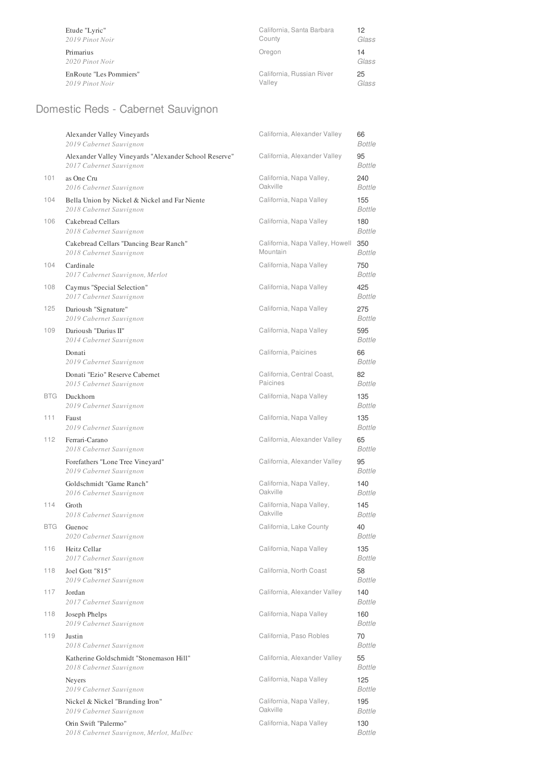| Etude "Lyric"                | California, Santa Barbara | 12          |
|------------------------------|---------------------------|-------------|
| 2019 Pinot Noir              | County                    | Glass       |
| Primarius<br>2020 Pinot Noir | Oregon                    | 14<br>Glass |
| EnRoute "Les Pommiers"       | California, Russian River | 25          |
| 2019 Pinot Noir              | Valley                    | Glass       |

# Domestic Reds - Cabernet Sauvignon

|            | Alexander Valley Vineyards<br>2019 Cabernet Sauvignon                            | California, Alexander Valley                | 66<br>Bottle         |
|------------|----------------------------------------------------------------------------------|---------------------------------------------|----------------------|
|            | Alexander Valley Vineyards "Alexander School Reserve"<br>2017 Cabernet Sauvignon | California, Alexander Valley                | 95<br>Bottle         |
| 101        | as One Cru<br>2016 Cabernet Sauvignon                                            | California, Napa Valley,<br>Oakville        | 240<br>Bottle        |
| 104        | Bella Union by Nickel & Nickel and Far Niente<br>2018 Cabernet Sauvignon         | California, Napa Valley                     | 155<br>Bottle        |
| 106        | Cakebread Cellars<br>2018 Cabernet Sauvignon                                     | California, Napa Valley                     | 180<br>Bottle        |
|            | Cakebread Cellars "Dancing Bear Ranch"<br>2018 Cabernet Sauvignon                | California, Napa Valley, Howell<br>Mountain | 350<br>Bottle        |
| 104        | Cardinale<br>2017 Cabernet Sauvignon, Merlot                                     | California, Napa Valley                     | 750<br>Bottle        |
| 108        | Caymus "Special Selection"<br>2017 Cabernet Sauvignon                            | California, Napa Valley                     | 425<br>Bottle        |
| 125        | Darioush "Signature"<br>2019 Cabernet Sauvignon                                  | California, Napa Valley                     | 275<br><b>Bottle</b> |
| 109        | Darioush "Darius II"<br>2014 Cabernet Sauvignon                                  | California, Napa Valley                     | 595<br><b>Bottle</b> |
|            | Donati<br>2019 Cabernet Sauvignon                                                | California, Paicines                        | 66<br><b>Bottle</b>  |
|            | Donati "Ezio" Reserve Cabernet<br>2015 Cabernet Sauvignon                        | California, Central Coast,<br>Paicines      | 82<br>Bottle         |
| <b>BTG</b> | Duckhorn<br>2019 Cabernet Sauvignon                                              | California, Napa Valley                     | 135<br>Bottle        |
| 111        | Faust<br>2019 Cabernet Sauvignon                                                 | California, Napa Valley                     | 135<br>Bottle        |
| 112        | Ferrari-Carano<br>2018 Cabernet Sauvignon                                        | California, Alexander Valley                | 65<br><b>Bottle</b>  |
|            | Forefathers "Lone Tree Vineyard"<br>2019 Cabernet Sauvignon                      | California, Alexander Valley                | 95<br>Bottle         |
|            | Goldschmidt "Game Ranch"<br>2016 Cabernet Sauvignon                              | California, Napa Valley,<br>Oakville        | 140<br>Bottle        |
| 114        | Groth<br>2018 Cabernet Sauvignon                                                 | California, Napa Valley,<br>Oakville        | 145<br><b>Bottle</b> |
| <b>BTG</b> | Guenoc<br>2020 Cabernet Sauvignon                                                | California, Lake County                     | 40<br><b>Bottle</b>  |
| 116        | Heitz Cellar<br>2017 Cabernet Sauvignon                                          | California, Napa Valley                     | 135<br>Bottle        |
| 118        | Joel Gott "815"<br>2019 Cabernet Sauvignon                                       | California, North Coast                     | 58<br>Bottle         |
| 117        | Jordan<br>2017 Cabernet Sauvignon                                                | California, Alexander Valley                | 140<br><i>Bottle</i> |
| 118        | Joseph Phelps<br>2019 Cabernet Sauvignon                                         | California, Napa Valley                     | 160<br>Bottle        |
| 119        | Justin<br>2018 Cabernet Sauvignon                                                | California, Paso Robles                     | 70<br><b>Bottle</b>  |
|            | Katherine Goldschmidt "Stonemason Hill"<br>2018 Cabernet Sauvignon               | California, Alexander Valley                | 55<br>Bottle         |
|            | Neyers<br>2019 Cabernet Sauvignon                                                | California, Napa Valley                     | 125<br><i>Bottle</i> |
|            | Nickel & Nickel "Branding Iron"<br>2019 Cabernet Sauvignon                       | California, Napa Valley,<br>Oakville        | 195<br><i>Bottle</i> |
|            | Orin Swift "Palermo"<br>2018 Cabernet Sauvignon, Merlot, Malbec                  | California, Napa Valley                     | 130<br>Bottle        |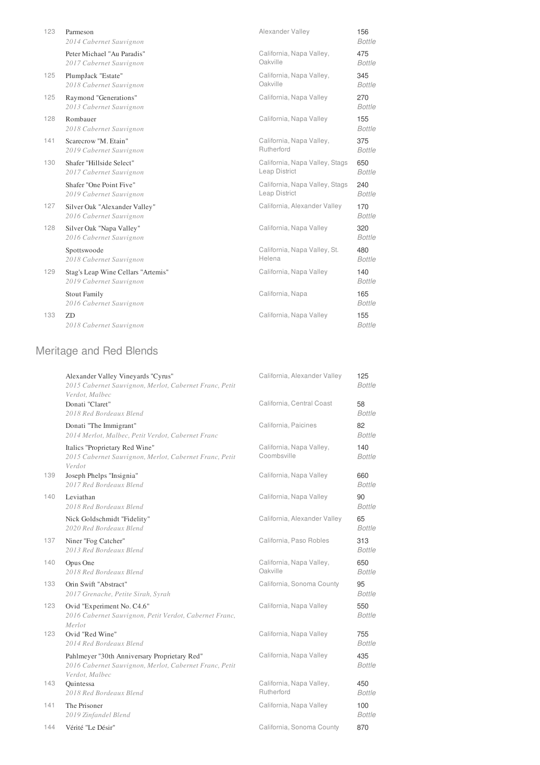| Parmeson<br>2014 Cabernet Sauvignon                           | Alexander Valley                                | 156<br><b>Bottle</b> |
|---------------------------------------------------------------|-------------------------------------------------|----------------------|
| Peter Michael "Au Paradis"<br>2017 Cabernet Sauvignon         | California, Napa Valley,<br>Oakville            | 475<br><b>Bottle</b> |
| PlumpJack "Estate"<br>2018 Cabernet Sauvignon                 | California, Napa Valley,<br>Oakville            | 345<br><b>Bottle</b> |
| Raymond "Generations"<br>2013 Cabernet Sauvignon              | California, Napa Valley                         | 270<br><b>Bottle</b> |
| Rombauer<br>2018 Cabernet Sauvignon                           | California, Napa Valley                         | 155<br><b>Bottle</b> |
| Scarecrow "M. Etain"<br>2019 Cabernet Sauvignon               | California, Napa Valley,<br>Rutherford          | 375<br><b>Bottle</b> |
| Shafer "Hillside Select"<br>2017 Cabernet Sauvignon           | California, Napa Valley, Stags<br>Leap District | 650<br><b>Bottle</b> |
| Shafer "One Point Five"<br>2019 Cabernet Sauvignon            | California, Napa Valley, Stags<br>Leap District | 240<br><b>Bottle</b> |
| Silver Oak "Alexander Valley"<br>2016 Cabernet Sauvignon      | California, Alexander Valley                    | 170<br><b>Bottle</b> |
| Silver Oak "Napa Valley"<br>2016 Cabernet Sauvignon           | California, Napa Valley                         | 320<br><b>Bottle</b> |
| Spottswoode<br>2018 Cabernet Sauvignon                        | California, Napa Valley, St.<br>Helena          | 480<br><b>Bottle</b> |
| Stag's Leap Wine Cellars "Artemis"<br>2019 Cabernet Sauvignon | California, Napa Valley                         | 140<br><b>Bottle</b> |
| <b>Stout Family</b><br>2016 Cabernet Sauvignon                | California, Napa                                | 165<br><b>Bottle</b> |
| ZD<br>2018 Cabernet Sauvignon                                 | California, Napa Valley                         | 155<br><b>Bottle</b> |
|                                                               |                                                 |                      |

# Meritage and Red Blends

|     | Alexander Valley Vineyards "Cyrus"<br>2015 Cabernet Sauvignon, Merlot, Cabernet Franc, Petit<br>Verdot, Malbec           | California, Alexander Valley            | 125<br><b>Bottle</b> |
|-----|--------------------------------------------------------------------------------------------------------------------------|-----------------------------------------|----------------------|
|     | Donati "Claret"<br>2018 Red Bordeaux Blend                                                                               | California, Central Coast               | 58<br><b>Bottle</b>  |
|     | Donati "The Immigrant"<br>2014 Merlot, Malbec, Petit Verdot, Cabernet Franc                                              | California, Paicines                    | 82<br><b>Bottle</b>  |
|     | Italics "Proprietary Red Wine"<br>2015 Cabernet Sauvignon, Merlot, Cabernet Franc, Petit<br>Verdot                       | California, Napa Valley,<br>Coombsville | 140<br><b>Bottle</b> |
| 139 | Joseph Phelps "Insignia"<br>2017 Red Bordeaux Blend                                                                      | California, Napa Valley                 | 660<br><b>Bottle</b> |
| 140 | Leviathan<br>2018 Red Bordeaux Blend                                                                                     | California, Napa Valley                 | 90<br><b>Bottle</b>  |
|     | Nick Goldschmidt "Fidelity"<br>2020 Red Bordeaux Blend                                                                   | California, Alexander Valley            | 65<br><b>Bottle</b>  |
| 137 | Niner "Fog Catcher"<br>2013 Red Bordeaux Blend                                                                           | California, Paso Robles                 | 313<br><b>Bottle</b> |
| 140 | Opus One<br>2018 Red Bordeaux Blend                                                                                      | California, Napa Valley,<br>Oakville    | 650<br><b>Bottle</b> |
| 133 | Orin Swift "Abstract"<br>2017 Grenache, Petite Sirah, Syrah                                                              | California, Sonoma County               | 95<br><b>Bottle</b>  |
| 123 | Ovid "Experiment No. C4.6"<br>2016 Cabernet Sauvignon, Petit Verdot, Cabernet Franc,<br>Merlot                           | California, Napa Valley                 | 550<br><b>Bottle</b> |
| 123 | Ovid "Red Wine"<br>2014 Red Bordeaux Blend                                                                               | California, Napa Valley                 | 755<br>Bottle        |
|     | Pahlmeyer "30th Anniversary Proprietary Red"<br>2016 Cabernet Sauvignon, Merlot, Cabernet Franc, Petit<br>Verdot, Malbec | California, Napa Valley                 | 435<br><b>Bottle</b> |
| 143 | Ouintessa<br>2018 Red Bordeaux Blend                                                                                     | California, Napa Valley,<br>Rutherford  | 450<br><b>Bottle</b> |
| 141 | The Prisoner<br>2019 Zinfandel Blend                                                                                     | California, Napa Valley                 | 100<br><b>Bottle</b> |
| 144 | Vérité "Le Désir"                                                                                                        | California, Sonoma County               | 870                  |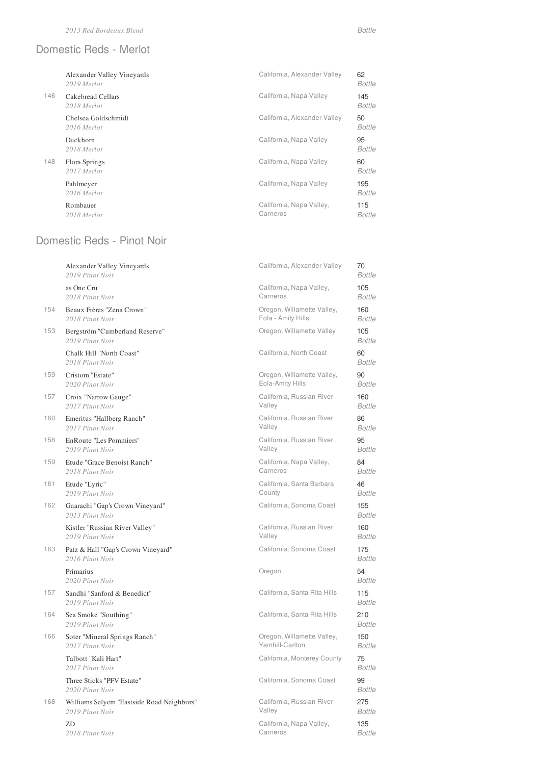#### Domestic Reds - Merlot

|     | Alexander Valley Vineyards<br>2019 Merlot | California, Alexander Valley         | 62<br><b>Bottle</b>  |
|-----|-------------------------------------------|--------------------------------------|----------------------|
| 146 | Cakebread Cellars<br>2018 Merlot          | California, Napa Valley              | 145<br><b>Bottle</b> |
|     | Chelsea Goldschmidt<br>2016 Merlot        | California, Alexander Valley         | 50<br><b>Bottle</b>  |
|     | Duckhorn<br>2018 Merlot                   | California, Napa Valley              | 95<br><b>Bottle</b>  |
| 148 | Flora Springs<br>2017 Merlot              | California, Napa Valley              | 60<br><b>Bottle</b>  |
|     | Pahlmeyer<br>2016 Merlot                  | California, Napa Valley              | 195<br><b>Bottle</b> |
|     | Rombauer<br>2018 Merlot                   | California, Napa Valley,<br>Carneros | 115<br><b>Bottle</b> |

# Domestic Reds - Pinot Noir

|     | Alexander Valley Vineyards<br>2019 Pinot Noir         | California, Alexander Valley | 70<br><b>Bottle</b>  |
|-----|-------------------------------------------------------|------------------------------|----------------------|
|     | as One Cru                                            | California, Napa Valley,     | 105                  |
|     | 2018 Pinot Noir                                       | Carneros                     | <b>Bottle</b>        |
| 154 | Beaux Frères "Zena Crown"                             | Oregon, Willamette Valley,   | 160                  |
|     | 2018 Pinot Noir                                       | Eola - Amity Hills           | <b>Bottle</b>        |
| 153 | Bergström "Cumberland Reserve"<br>2019 Pinot Noir     | Oregon, Willamette Valley    | 105<br><b>Bottle</b> |
|     | Chalk Hill "North Coast"<br>2018 Pinot Noir           | California, North Coast      | 60<br><b>Bottle</b>  |
| 159 | Cristom "Estate"                                      | Oregon, Willamette Valley,   | 90                   |
|     | 2020 Pinot Noir                                       | Eola-Amity Hills             | <b>Bottle</b>        |
| 157 | Croix "Narrow Gauge"                                  | California, Russian River    | 160                  |
|     | 2017 Pinot Noir                                       | Valley                       | <b>Bottle</b>        |
| 160 | Emeritus "Hallberg Ranch"                             | California, Russian River    | 86                   |
|     | 2017 Pinot Noir                                       | Valley                       | <b>Bottle</b>        |
| 158 | EnRoute "Les Pommiers"                                | California, Russian River    | 95                   |
|     | 2019 Pinot Noir                                       | Valley                       | <b>Bottle</b>        |
| 159 | Etude "Grace Benoist Ranch"                           | California, Napa Valley,     | 84                   |
|     | 2018 Pinot Noir                                       | Carneros                     | <b>Bottle</b>        |
| 161 | Etude "Lyric"                                         | California, Santa Barbara    | 46                   |
|     | 2019 Pinot Noir                                       | County                       | <b>Bottle</b>        |
| 162 | Guarachi "Gap's Crown Vineyard"<br>2013 Pinot Noir    | California, Sonoma Coast     | 155<br><b>Bottle</b> |
|     | Kistler "Russian River Valley"                        | California, Russian River    | 160                  |
|     | 2019 Pinot Noir                                       | Valley                       | <b>Bottle</b>        |
| 163 | Patz & Hall "Gap's Crown Vineyard"<br>2016 Pinot Noir | California, Sonoma Coast     | 175<br><b>Bottle</b> |
|     | Primarius<br>2020 Pinot Noir                          | Oregon                       | 54<br>Bottle         |
| 157 | Sandhi "Sanford & Benedict"<br>2019 Pinot Noir        | California, Santa Rita Hills | 115<br><b>Bottle</b> |
| 164 | Sea Smoke "Southing"<br>2019 Pinot Noir               | California, Santa Rita Hills | 210<br><b>Bottle</b> |
| 166 | Soter "Mineral Springs Ranch"                         | Oregon, Willamette Valley,   | 150                  |
|     | 2017 Pinot Noir                                       | Yamhill-Carlton              | <b>Bottle</b>        |
|     | Talbott "Kali Hart"<br>2017 Pinot Noir                | California, Monterey County  | 75<br><b>Bottle</b>  |
|     | Three Sticks "PFV Estate"<br>2020 Pinot Noir          | California, Sonoma Coast     | 99<br><b>Bottle</b>  |
| 168 | Williams Selyem "Eastside Road Neighbors"             | California, Russian River    | 275                  |
|     | 2019 Pinot Noir                                       | Valley                       | <b>Bottle</b>        |
|     | ZD                                                    | California, Napa Valley,     | 135                  |
|     | 2018 Pinot Noir                                       | Carneros                     | Bottle               |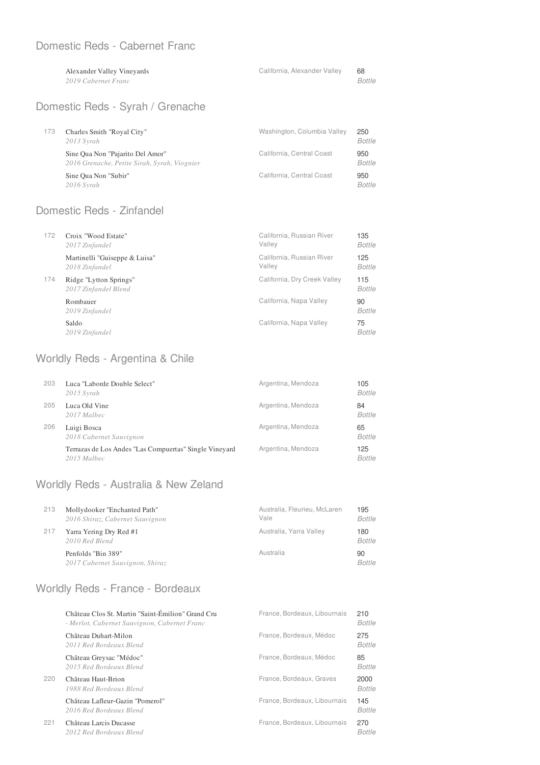#### Domestic Reds - Cabernet Franc

| Alexander Valley Vineyards | California, Alexander Valley | 68            |
|----------------------------|------------------------------|---------------|
| 2019 Cabernet Franc        |                              | <b>Bottle</b> |
|                            |                              |               |

# Domestic Reds - Syrah / Grenache

| 173 | Charles Smith "Royal City"<br>$2013$ Syrah                                       | Washington, Columbia Valley | 250<br><b>Bottle</b> |
|-----|----------------------------------------------------------------------------------|-----------------------------|----------------------|
|     | Sine Qua Non "Pajarito Del Amor"<br>2016 Grenache, Petite Sirah, Syrah, Viognier | California, Central Coast   | 950<br><b>Bottle</b> |
|     | Sine Qua Non "Subir"<br>$2016$ Syrah                                             | California, Central Coast   | 950<br><b>Bottle</b> |

#### Domestic Reds - Zinfandel

| 172 | Croix "Wood Estate"<br>2017 Zinfandel           | California, Russian River<br>Valley | 135<br>Bottle        |
|-----|-------------------------------------------------|-------------------------------------|----------------------|
|     | Martinelli "Guiseppe & Luisa"<br>2018 Zinfandel | California, Russian River<br>Valley | 125<br><b>Bottle</b> |
| 174 | Ridge "Lytton Springs"<br>2017 Zinfandel Blend  | California, Dry Creek Valley        | 115<br>Bottle        |
|     | Rombauer<br>2019 Zinfandel                      | California, Napa Valley             | 90<br>Bottle         |
|     | Saldo<br>2019 Zinfandel                         | California, Napa Valley             | 75<br><b>Bottle</b>  |

#### Worldly Reds - Argentina & Chile

| 203 | Luca "Laborde Double Select"<br>$2015$ Syrah                          | Argentina, Mendoza | 105<br><b>Bottle</b> |
|-----|-----------------------------------------------------------------------|--------------------|----------------------|
| 205 | Luca Old Vine<br>2017 Malbec                                          | Argentina, Mendoza | 84<br><b>Bottle</b>  |
| 206 | Luigi Bosca<br>2018 Cabernet Sauvignon                                | Argentina, Mendoza | 65<br><b>Bottle</b>  |
|     | Terrazas de Los Andes "Las Compuertas" Single Vineyard<br>2015 Malbec | Argentina, Mendoza | 125<br><b>Bottle</b> |

### Worldly Reds - Australia & New Zeland

| 213 | Mollydooker "Enchanted Path"<br>2016 Shiraz, Cabernet Sauvignon | Australia, Fleurieu, McLaren<br>Vale | 195<br><b>Bottle</b> |
|-----|-----------------------------------------------------------------|--------------------------------------|----------------------|
| 217 | Yarra Yering Dry Red #1<br>2010 Red Blend                       | Australia, Yarra Valley              | 180<br><b>Bottle</b> |
|     | Penfolds "Bin 389"<br>2017 Cabernet Sauvignon, Shiraz           | Australia                            | 90<br><b>Bottle</b>  |

### Worldly Reds - France - Bordeaux

|     | Château Clos St. Martin "Saint-Émilion" Grand Cru<br>- Merlot, Cabernet Sauvignon, Cabernet Franc | France, Bordeaux, Libournais | 210<br><b>Bottle</b>  |
|-----|---------------------------------------------------------------------------------------------------|------------------------------|-----------------------|
|     | Château Duhart-Milon<br>2011 Red Bordeaux Blend                                                   | France, Bordeaux, Médoc      | 275<br><b>Bottle</b>  |
|     | Château Greysac "Médoc"<br>2015 Red Bordeaux Blend                                                | France, Bordeaux, Médoc      | 85<br><b>Bottle</b>   |
| 220 | Château Haut-Brion<br>1988 Red Bordeaux Blend                                                     | France, Bordeaux, Graves     | 2000<br><b>Bottle</b> |
|     | Château Lafleur-Gazin "Pomerol"<br>2016 Red Bordeaux Blend                                        | France, Bordeaux, Libournais | 145<br><b>Bottle</b>  |
| 221 | Château Larcis Ducasse<br>2012 Red Bordeaux Blend                                                 | France, Bordeaux, Libournais | 270<br><b>Bottle</b>  |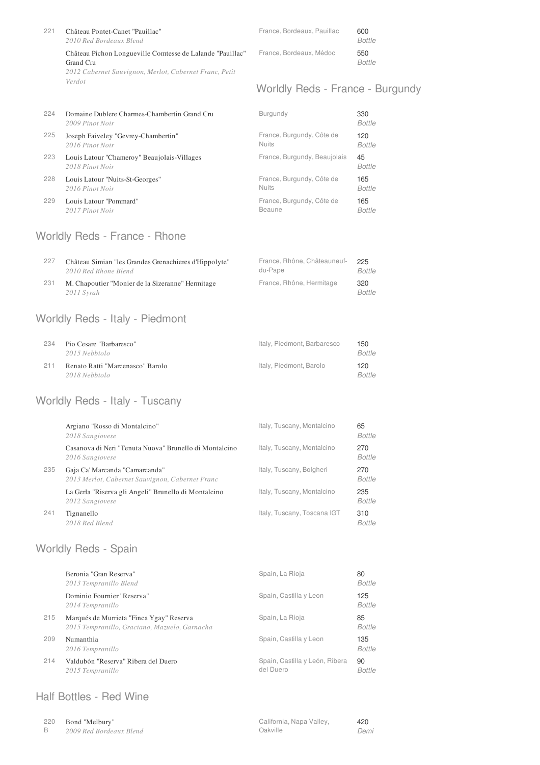| 221 | Château Pontet-Canet "Pauillac"<br>2010 Red Bordeaux Blend                                                                       | France, Bordeaux, Pauillac | 600<br><b>Bottle</b> |
|-----|----------------------------------------------------------------------------------------------------------------------------------|----------------------------|----------------------|
|     | Château Pichon Longueville Comtesse de Lalande "Pauillac"<br>Grand Cru<br>2012 Cabernet Sauvignon, Merlot, Cabernet Franc, Petit | France, Bordeaux, Médoc    | 550<br><b>Bottle</b> |
|     | Verdot                                                                                                                           |                            |                      |

### Worldly Reds - France - Burgundy

| 224 | Domaine Dublere Charmes-Chambertin Grand Cru<br>2009 Pinot Noir | Burgundy                     | 330<br><b>Bottle</b> |
|-----|-----------------------------------------------------------------|------------------------------|----------------------|
| 225 | Joseph Faiveley "Gevrey-Chambertin"                             | France, Burgundy, Côte de    | 120                  |
|     | 2016 Pinot Noir                                                 | <b>Nuits</b>                 | <b>Bottle</b>        |
| 223 | Louis Latour "Chameroy" Beaujolais-Villages<br>2018 Pinot Noir  | France, Burgundy, Beaujolais | 45<br><b>Bottle</b>  |
| 228 | Louis Latour "Nuits-St-Georges"                                 | France, Burgundy, Côte de    | 165                  |
|     | 2016 Pinot Noir                                                 | <b>Nuits</b>                 | <b>Bottle</b>        |
| 229 | Louis Latour "Pommard"                                          | France, Burgundy, Côte de    | 165                  |
|     | 2017 Pinot Noir                                                 | Beaune                       | <b>Bottle</b>        |

### Worldly Reds - France - Rhone

| 227 | Château Simian "les Grandes Grenachieres d'Hippolyte"          | France, Rhône, Châteauneuf- | 225           |
|-----|----------------------------------------------------------------|-----------------------------|---------------|
|     | 2010 Red Rhone Blend                                           | du-Pape                     | Bottle        |
| 231 | M. Chapoutier "Monier de la Sizeranne" Hermitage<br>2011 Syrah | France, Rhône, Hermitage    | 320<br>Bottle |

### Worldly Reds - Italy - Piedmont

| 234 | Pio Cesare "Barbaresco"<br>2015 Nebbiolo          | Italy, Piedmont, Barbaresco | 150<br>Bottle |
|-----|---------------------------------------------------|-----------------------------|---------------|
| 211 | Renato Ratti "Marcenasco" Barolo<br>2018 Nebbiolo | Italy, Piedmont, Barolo     | 120<br>Bottle |

### Worldly Reds - Italy - Tuscany

|     | Argiano "Rosso di Montalcino"<br>2018 Sangiovese                                  | Italy, Tuscany, Montalcino  | 65<br>Bottle         |
|-----|-----------------------------------------------------------------------------------|-----------------------------|----------------------|
|     | Casanova di Neri "Tenuta Nuova" Brunello di Montalcino<br>2016 Sangiovese         | Italy, Tuscany, Montalcino  | 270<br><b>Bottle</b> |
| 235 | Gaja Ca' Marcanda "Camarcanda"<br>2013 Merlot, Cabernet Sauvignon, Cabernet Franc | Italy, Tuscany, Bolgheri    | 270<br><b>Bottle</b> |
|     | La Gerla "Riserva gli Angeli" Brunello di Montalcino<br>2012 Sangiovese           | Italy, Tuscany, Montalcino  | 235<br><b>Bottle</b> |
| 241 | Tignanello<br>2018 Red Blend                                                      | Italy, Tuscany, Toscana IGT | 310<br>Bottle        |

# Worldly Reds - Spain

|     | Beronia "Gran Reserva"<br>2013 Tempranillo Blend                                          | Spain, La Rioja                             | 80<br>Bottle         |
|-----|-------------------------------------------------------------------------------------------|---------------------------------------------|----------------------|
|     | Dominio Fournier "Reserva"<br>2014 Tempranillo                                            | Spain, Castilla y Leon                      | 125<br>Bottle        |
| 215 | Marqués de Murrieta "Finca Ygay" Reserva<br>2015 Tempranillo, Graciano, Mazuelo, Garnacha | Spain, La Rioja                             | 85<br>Bottle         |
| 209 | Numanthia<br>2016 Tempranillo                                                             | Spain, Castilla y Leon                      | 135<br><b>Bottle</b> |
| 214 | Valdubón "Reserva" Ribera del Duero<br>2015 Tempranillo                                   | Spain, Castilla y León, Ribera<br>del Duero | 90<br><b>Bottle</b>  |

#### Half Bottles - Red Wine

| 220 | Bond "Melbury"          | California, Napa Valley, | 420  |
|-----|-------------------------|--------------------------|------|
|     | 2009 Red Bordeaux Blend | Oakville                 | Demi |